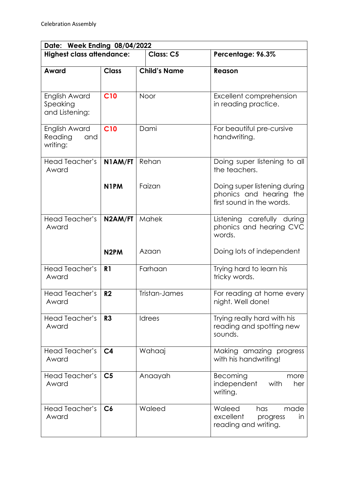| Date: Week Ending 08/04/2022                |                   |                     |                                                                                      |  |  |
|---------------------------------------------|-------------------|---------------------|--------------------------------------------------------------------------------------|--|--|
| <b>Highest class attendance:</b>            |                   | <b>Class: C5</b>    | Percentage: 96.3%                                                                    |  |  |
| Award                                       | <b>Class</b>      | <b>Child's Name</b> | Reason                                                                               |  |  |
| English Award<br>Speaking<br>and Listening: | <b>C10</b>        | Noor                | Excellent comprehension<br>in reading practice.                                      |  |  |
| English Award<br>Reading<br>and<br>writing: | <b>C10</b>        | Dami                | For beautiful pre-cursive<br>handwriting.                                            |  |  |
| Head Teacher's<br>Award                     | N1AM/FT           | Rehan               | Doing super listening to all<br>the teachers.                                        |  |  |
|                                             | N <sub>1</sub> PM | Faizan              | Doing super listening during<br>phonics and hearing the<br>first sound in the words. |  |  |
| Head Teacher's<br>Award                     | N2AM/FT           | Mahek               | Listening carefully during<br>phonics and hearing CVC<br>words.                      |  |  |
|                                             | N <sub>2</sub> PM | Azaan               | Doing lots of independent                                                            |  |  |
| <b>Head Teacher's</b><br>Award              | R <sub>1</sub>    | Farhaan             | Trying hard to learn his<br>tricky words.                                            |  |  |
| Head Teacher's<br>Award                     | R <sub>2</sub>    | Tristan-James       | For reading at home every<br>night. Well done!                                       |  |  |
| Head Teacher's<br>Award                     | R3                | <b>Idrees</b>       | Trying really hard with his<br>reading and spotting new<br>sounds.                   |  |  |
| Head Teacher's<br>Award                     | C <sub>4</sub>    | Wahaaj              | Making amazing progress<br>with his handwriting!                                     |  |  |
| Head Teacher's<br>Award                     | C <sub>5</sub>    | Anaayah             | Becoming<br>more<br>independent<br>with<br>her<br>writing.                           |  |  |
| Head Teacher's<br>Award                     | C6                | Waleed              | Waleed<br>made<br>has<br>excellent<br>in<br>progress<br>reading and writing.         |  |  |